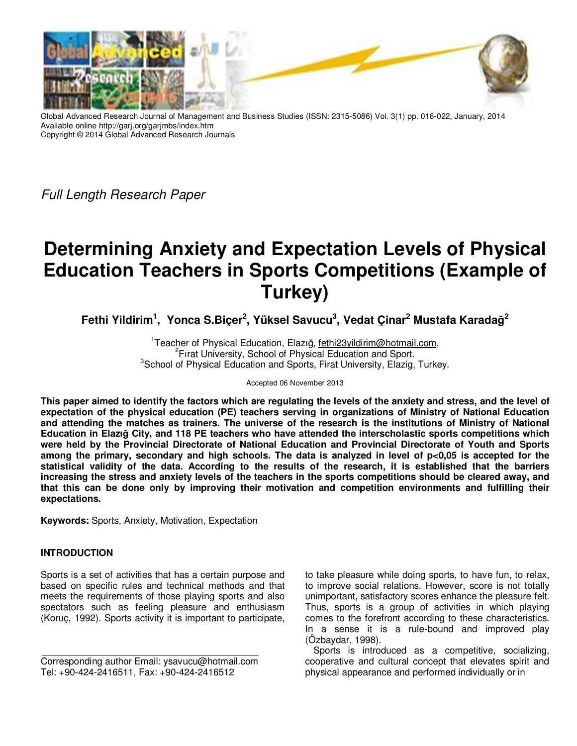

Global Advanced Research Journal of Management and Business Studies (ISSN: 2315-5086) Vol. 3(1) pp. 016-022, January, 2014 Available online http://garj.org/garjmbs/index.htm Copyright © 2014 Global Advanced Research Journals

Full Length Research Paper

# **Determining Anxiety and Expectation Levels of Physical Education Teachers in Sports Competitions (Example of Turkey)**

**Fethi Yildirim<sup>1</sup> , Yonca S.Biçer<sup>2</sup> , Yüksel Savucu<sup>3</sup> , Vedat Çinar<sup>2</sup> Mustafa Karadağ 2**

<sup>1</sup>Teacher of Physical Education, Elazığ, fethi23yildirim@hotmail.com, <sup>2</sup> Firat University, School of Physical Education and Sport. <sup>3</sup>School of Physical Education and Sports, Firat University, Elazig, Turkey.

Accepted 06 November 2013

**This paper aimed to identify the factors which are regulating the levels of the anxiety and stress, and the level of expectation of the physical education (PE) teachers serving in organizations of Ministry of National Education and attending the matches as trainers. The universe of the research is the institutions of Ministry of National Education in Elazığ City, and 118 PE teachers who have attended the interscholastic sports competitions which were held by the Provincial Directorate of National Education and Provincial Directorate of Youth and Sports among the primary, secondary and high schools. The data is analyzed in level of p<0,05 is accepted for the statistical validity of the data. According to the results of the research, it is established that the barriers increasing the stress and anxiety levels of the teachers in the sports competitions should be cleared away, and that this can be done only by improving their motivation and competition environments and fulfilling their expectations.** 

**Keywords:** Sports, Anxiety, Motivation, Expectation

# **INTRODUCTION**

Sports is a set of activities that has a certain purpose and based on specific rules and technical methods and that meets the requirements of those playing sports and also spectators such as feeling pleasure and enthusiasm (Koruç, 1992). Sports activity it is important to participate,

to take pleasure while doing sports, to have fun, to relax, to improve social relations. However, score is not totally unimportant, satisfactory scores enhance the pleasure felt. Thus, sports is a group of activities in which playing comes to the forefront according to these characteristics. In a sense it is a rule-bound and improved play (Özbaydar, 1998).

 Sports is introduced as a competitive, socializing, cooperative and cultural concept that elevates spirit and physical appearance and performed individually or in

Corresponding author Email: ysavucu@hotmail.com Tel: +90-424-2416511, Fax: +90-424-2416512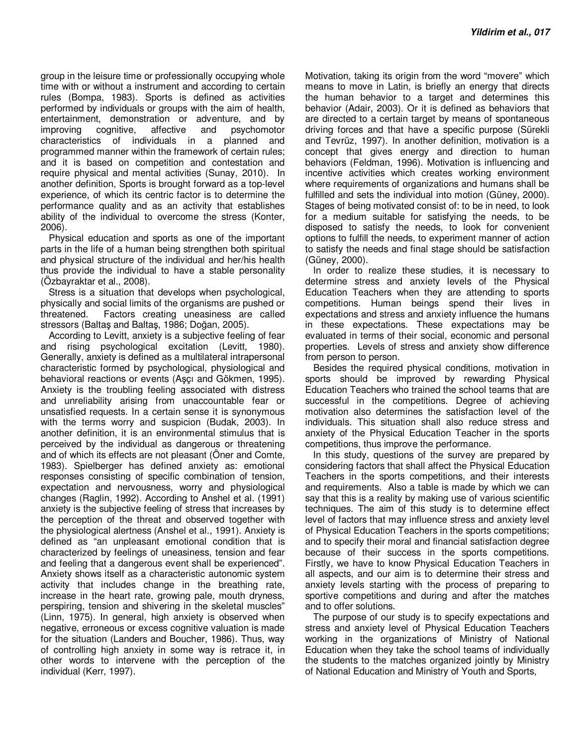group in the leisure time or professionally occupying whole time with or without a instrument and according to certain rules (Bompa, 1983). Sports is defined as activities performed by individuals or groups with the aim of health, entertainment, demonstration or adventure, and by improving cognitive, affective and psychomotor characteristics of individuals in a planned and programmed manner within the framework of certain rules; and it is based on competition and contestation and require physical and mental activities (Sunay, 2010). In another definition, Sports is brought forward as a top-level experience, of which its centric factor is to determine the performance quality and as an activity that establishes ability of the individual to overcome the stress (Konter, 2006).

 Physical education and sports as one of the important parts in the life of a human being strengthen both spiritual and physical structure of the individual and her/his health thus provide the individual to have a stable personality (Özbayraktar et al., 2008).

 Stress is a situation that develops when psychological, physically and social limits of the organisms are pushed or threatened. Factors creating uneasiness are called stressors (Baltaş and Baltaş, 1986; Doğan, 2005).

 According to Levitt, anxiety is a subjective feeling of fear and rising psychological excitation (Levitt, 1980). Generally, anxiety is defined as a multilateral intrapersonal characteristic formed by psychological, physiological and behavioral reactions or events (Aşçı and Gökmen, 1995). Anxiety is the troubling feeling associated with distress and unreliability arising from unaccountable fear or unsatisfied requests. In a certain sense it is synonymous with the terms worry and suspicion (Budak, 2003). In another definition, it is an environmental stimulus that is perceived by the individual as dangerous or threatening and of which its effects are not pleasant (Öner and Comte, 1983). Spielberger has defined anxiety as: emotional responses consisting of specific combination of tension, expectation and nervousness, worry and physiological changes (Raglin, 1992). According to Anshel et al. (1991) anxiety is the subjective feeling of stress that increases by the perception of the threat and observed together with the physiological alertness (Anshel et al., 1991). Anxiety is defined as "an unpleasant emotional condition that is characterized by feelings of uneasiness, tension and fear and feeling that a dangerous event shall be experienced". Anxiety shows itself as a characteristic autonomic system activity that includes change in the breathing rate, increase in the heart rate, growing pale, mouth dryness, perspiring, tension and shivering in the skeletal muscles" (Linn, 1975). In general, high anxiety is observed when negative, erroneous or excess cognitive valuation is made for the situation (Landers and Boucher, 1986). Thus, way of controlling high anxiety in some way is retrace it, in other words to intervene with the perception of the individual (Kerr, 1997).

Motivation, taking its origin from the word "movere" which means to move in Latin, is briefly an energy that directs the human behavior to a target and determines this behavior (Adair, 2003). Or it is defined as behaviors that are directed to a certain target by means of spontaneous driving forces and that have a specific purpose (Sürekli and Tevrüz, 1997). In another definition, motivation is a concept that gives energy and direction to human behaviors (Feldman, 1996). Motivation is influencing and incentive activities which creates working environment where requirements of organizations and humans shall be fulfilled and sets the individual into motion (Güney, 2000). Stages of being motivated consist of: to be in need, to look for a medium suitable for satisfying the needs, to be disposed to satisfy the needs, to look for convenient options to fulfill the needs, to experiment manner of action to satisfy the needs and final stage should be satisfaction (Güney, 2000).

 In order to realize these studies, it is necessary to determine stress and anxiety levels of the Physical Education Teachers when they are attending to sports competitions. Human beings spend their lives in expectations and stress and anxiety influence the humans in these expectations. These expectations may be evaluated in terms of their social, economic and personal properties. Levels of stress and anxiety show difference from person to person.

 Besides the required physical conditions, motivation in sports should be improved by rewarding Physical Education Teachers who trained the school teams that are successful in the competitions. Degree of achieving motivation also determines the satisfaction level of the individuals. This situation shall also reduce stress and anxiety of the Physical Education Teacher in the sports competitions, thus improve the performance.

 In this study, questions of the survey are prepared by considering factors that shall affect the Physical Education Teachers in the sports competitions, and their interests and requirements. Also a table is made by which we can say that this is a reality by making use of various scientific techniques. The aim of this study is to determine effect level of factors that may influence stress and anxiety level of Physical Education Teachers in the sports competitions; and to specify their moral and financial satisfaction degree because of their success in the sports competitions. Firstly, we have to know Physical Education Teachers in all aspects, and our aim is to determine their stress and anxiety levels starting with the process of preparing to sportive competitions and during and after the matches and to offer solutions.

 The purpose of our study is to specify expectations and stress and anxiety level of Physical Education Teachers working in the organizations of Ministry of National Education when they take the school teams of individually the students to the matches organized jointly by Ministry of National Education and Ministry of Youth and Sports,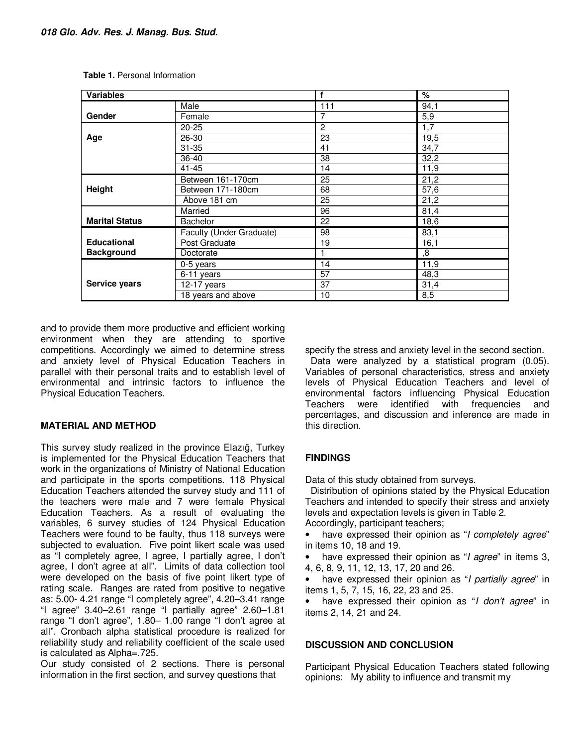| <b>Variables</b>      |                          | f              | ℅                 |
|-----------------------|--------------------------|----------------|-------------------|
|                       | Male                     | 111            | 94,1              |
| Gender                | Female                   | 7              | 5,9               |
|                       | $20 - 25$                | $\overline{2}$ | 1,7               |
| Age                   | 26-30                    | 23             | 19,5              |
|                       | $31 - 35$                | 41             | 34,7              |
|                       | $36 - 40$                | 38             | 32,2              |
|                       | $41 - 45$                | 14             | 11,9              |
|                       | Between 161-170cm        | 25             | 21,2              |
| Height                | Between 171-180cm        | 68             | $\overline{57,6}$ |
|                       | Above 181 cm             | 25             | 21,2              |
|                       | Married                  | 96             | 81,4              |
| <b>Marital Status</b> | <b>Bachelor</b>          | 22             | 18,6              |
|                       | Faculty (Under Graduate) | 98             | 83,1              |
| <b>Educational</b>    | Post Graduate            | 19             | 16,1              |
| <b>Background</b>     | Doctorate                | 1              | ,8                |
|                       | 0-5 years                | 14             | 11,9              |
|                       | 6-11 years               | 57             | 48,3              |
| <b>Service years</b>  | 12-17 years              | 37             | 31,4              |
|                       | 18 years and above       | 10             | 8,5               |

and to provide them more productive and efficient working environment when they are attending to sportive competitions. Accordingly we aimed to determine stress and anxiety level of Physical Education Teachers in parallel with their personal traits and to establish level of environmental and intrinsic factors to influence the Physical Education Teachers.

### **MATERIAL AND METHOD**

This survey study realized in the province Elazığ, Turkey is implemented for the Physical Education Teachers that work in the organizations of Ministry of National Education and participate in the sports competitions. 118 Physical Education Teachers attended the survey study and 111 of the teachers were male and 7 were female Physical Education Teachers. As a result of evaluating the variables, 6 survey studies of 124 Physical Education Teachers were found to be faulty, thus 118 surveys were subjected to evaluation. Five point likert scale was used as "I completely agree, I agree, I partially agree, I don't agree, I don't agree at all". Limits of data collection tool were developed on the basis of five point likert type of rating scale. Ranges are rated from positive to negative as: 5.00- 4.21 range "I completely agree", 4.20–3.41 range "I agree" 3.40–2.61 range "I partially agree" 2.60–1.81 range "I don't agree", 1.80– 1.00 range "I don't agree at all". Cronbach alpha statistical procedure is realized for reliability study and reliability coefficient of the scale used is calculated as Alpha=.725.

Our study consisted of 2 sections. There is personal information in the first section, and survey questions that

specify the stress and anxiety level in the second section.

 Data were analyzed by a statistical program (0.05). Variables of personal characteristics, stress and anxiety levels of Physical Education Teachers and level of environmental factors influencing Physical Education Teachers were identified with frequencies and percentages, and discussion and inference are made in this direction.

# **FINDINGS**

Data of this study obtained from surveys.

 Distribution of opinions stated by the Physical Education Teachers and intended to specify their stress and anxiety levels and expectation levels is given in Table 2. Accordingly, participant teachers;

have expressed their opinion as "I completely agree" in items 10, 18 and 19.

have expressed their opinion as "*I agree*" in items 3, 4, 6, 8, 9, 11, 12, 13, 17, 20 and 26.

have expressed their opinion as "I partially agree" in items 1, 5, 7, 15, 16, 22, 23 and 25.

have expressed their opinion as "I don't agree" in items 2, 14, 21 and 24.

### **DISCUSSION AND CONCLUSION**

Participant Physical Education Teachers stated following opinions: My ability to influence and transmit my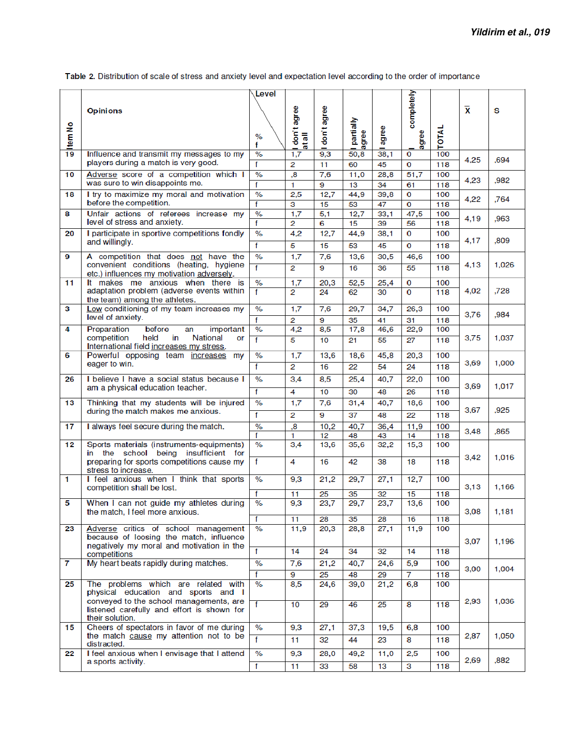|                       |                                                                                                | Level              |                |             |                    |            |            |            |                         |       |
|-----------------------|------------------------------------------------------------------------------------------------|--------------------|----------------|-------------|--------------------|------------|------------|------------|-------------------------|-------|
|                       | <b>Opinions</b>                                                                                |                    |                |             |                    |            | completely |            | $\overline{\mathbf{x}}$ | S     |
|                       |                                                                                                |                    |                |             |                    |            |            |            |                         |       |
| $\frac{1}{2}$ ltem No |                                                                                                | %                  | don't agree    | don't agree | partially<br>agree | agree      | gree       | TOTAL      |                         |       |
|                       |                                                                                                | f                  | atall          |             | œ                  |            |            |            |                         |       |
|                       | Influence and transmit my messages to my                                                       | %<br>f             | 1,7            | 9,3         | 50,8               | 38,1       | 0          | 100        | 4,25                    | .694  |
|                       | players during a match is very good.<br>10                                                     |                    | 2              | 11          | 60                 | 45         | 0          | 118        |                         |       |
|                       | Adverse score of a competition which I<br>was sure to win disappoints me.                      |                    | ,8<br>1        | 7,6<br>9    | 11,0<br>13         | 28,8<br>34 | 51,7<br>61 | 100<br>118 | 4,23                    | .982  |
| 18                    | I try to maximize my moral and motivation                                                      | f<br>$\frac{9}{6}$ | 2,5            | 12,7        | 44.9               | 39,8       | 0          | 100        |                         |       |
|                       | before the competition.                                                                        | f                  | З              | 15          | 53                 | 47         | 0          | 118        | 4,22                    | .764  |
| 8                     | Unfair actions of referees increase my                                                         | $\%$               | 1.7            | 5,1         | 12,7               | 33,1       | 47,5       | 100        | 4,19                    | ,963  |
|                       | level of stress and anxiety.                                                                   | f<br>$\%$          | 2              | 6           | 15                 | 39         | 56         | 118<br>100 | 4,17                    |       |
| 20                    | I participate in sportive competitions fondly<br>and willingly.                                |                    | 4,2            | 12.7        | 44.9               | 38,1       | 0          |            |                         | .809  |
| 9                     |                                                                                                | f<br>%             | 5              | 15          | 53                 | 45         | 0          | 118<br>100 |                         |       |
|                       | A competition that does not have the<br>convenient conditions (heating, hygiene                | $\mathbf{f}$       | 1,7<br>2       | 7,6<br>9    | 13,6<br>16         | 30,5<br>36 | 46.6<br>55 | 118        | 4,13                    | 1,026 |
|                       | etc.) influences my motivation adversely.                                                      |                    |                |             |                    |            |            |            |                         |       |
| 11                    | It makes me anxious when there is<br>adaptation problem (adverse events within                 | %                  | 1,7            | 20,3        | 52,5               | 25,4       | 0          | 100        | 4,02                    | .728  |
|                       | the team) among the athletes.                                                                  | f                  | 2              | 24          | 62                 | 30         | 0          | 118        |                         |       |
| з                     | Low conditioning of my team increases my                                                       | $\%$               | 1,7            | 7,6         | 29.7               | 34,7       | 26,3       | 100        |                         | ,984  |
|                       | level of anxiety.                                                                              | f                  | 2              | 9           | 35                 | 41         | 31         | 118        | 3,76                    |       |
| 4                     | Preparation<br>before<br>important<br>an<br>competition<br>held<br>in<br><b>National</b><br>or | $\frac{9}{6}$      | 4,2            | 8,5         | 17,8               | 46,6       | 22,9       | 100        | 3,75                    | 1,037 |
|                       | International field increases my stress.                                                       | f                  | 5              | 10          | 21                 | 55         | 27         | 118        |                         |       |
| 6                     | Powerful opposing team increases my                                                            | %                  | 1,7            | 13,6        | 18,6               | 45,8       | 20,3       | 100        | 3,69                    | 1,000 |
|                       | eager to win.                                                                                  | f                  | $\overline{2}$ | 16          | 22                 | 54         | 24         | 118        |                         |       |
| 26                    | I believe I have a social status because I<br>am a physical education teacher.                 | %                  | 3.4            | 8,5         | 25,4               | 40,7       | 22.0       | 100        | 3,69                    | 1,017 |
|                       |                                                                                                | f                  | 4              | 10          | 30                 | 48         | 26         | 118        |                         |       |
| 13                    | Thinking that my students will be injured                                                      | %                  | 1,7            | 7,6         | 31.4               | 40.7       | 18,6       | 100        | 3,67                    | ,925  |
|                       | during the match makes me anxious.                                                             | f                  | 2              | 9           | 37                 | 48         | 22         | 118        |                         |       |
| 17                    | I always feel secure during the match.                                                         | %                  | 8,             | 10,2        | 40.7               | 36,4       | 11,9       | 100        | 3,48                    | .865  |
|                       |                                                                                                | f                  | 1              | 12          | 48                 | 43         | 14         | 118        |                         |       |
| 12                    | Sports materials (instruments-equipments)<br>in the school being insufficient for              | %                  | 3,4            | 13,6        | 35,6               | 32,2       | 15,3       | 100        |                         | 1.016 |
|                       | preparing for sports competitions cause my                                                     | f                  | 4              | 16          | 42                 | 38         | 18         | 118        | 3,42                    |       |
|                       | stress to increase.                                                                            |                    |                |             |                    |            |            |            |                         |       |
| 1.                    | I feel anxious when I think that sports<br>competition shall be lost.                          | %                  | 9,3            | 21,2        | 29,7               | 27,1       | 12.7       | 100        | 3,13                    | 1,166 |
|                       |                                                                                                | f                  | 11             | 25          | 35                 | 32         | 15         | 118        |                         |       |
| 5                     | When I can not guide my athletes during<br>the match, I feel more anxious.                     | %                  | 9,3            | 23,7        | 29,7               | 23,7       | 13,6       | 100        | 3,08                    | 1,181 |
|                       |                                                                                                | f<br>%             | 11             | 28          | 35                 | 28         | 16         | 118        |                         |       |
| 23                    | Adverse critics of school management<br>because of loosing the match, influence                |                    | 11,9           | 20,3        | 28,8               | 27,1       | 11,9       | 100        |                         |       |
|                       | negatively my moral and motivation in the                                                      |                    |                |             |                    |            |            |            | 3,07                    | 1.196 |
|                       | competitions                                                                                   | f                  | 14             | 24          | 34                 | 32         | 14         | 118        |                         |       |
| 7                     | My heart beats rapidly during matches.                                                         | %                  | 7,6            | 21,2        | 40.7               | 24,6       | 5,9        | 100        | 3,00                    | 1,004 |
| 25                    | The problems which are related with                                                            | f<br>%             | 9              | 25          | 48<br>39,0         | 29<br>21,2 | 7.         | 118<br>100 |                         |       |
|                       | physical education and sports and I                                                            |                    | 8,5            | 24,6        |                    |            | 6,8        |            |                         | 1,036 |
|                       | conveved to the school managements, are                                                        | $\mathbf{f}$       | 10             | 29          | 46                 | 25         | 8          | 118        | 2,93                    |       |
|                       | listened carefully and effort is shown for<br>their solution.                                  |                    |                |             |                    |            |            |            |                         |       |
| 15                    | Cheers of spectators in favor of me during                                                     | $\%$               | 9,3            | 27,1        | 37,3               | 19,5       | 6,8        | 100        |                         |       |
|                       | the match cause my attention not to be                                                         | f                  | 11             | 32          | 44                 | 23         | 8          | 118        | 2,87                    | 1,050 |
| 22                    | distracted.<br>I feel anxious when I envisage that I attend                                    | %                  | 9,3            | 28,0        | 49,2               | 11,0       | 2,5        | 100        |                         |       |
|                       | a sports activity.                                                                             | f                  | 11             | 33          | 58                 | 13         | з          | 118        | 2,69                    | ,882  |
|                       |                                                                                                |                    |                |             |                    |            |            |            |                         |       |

Table 2. Distribution of scale of stress and anxiety level and expectation level according to the order of importance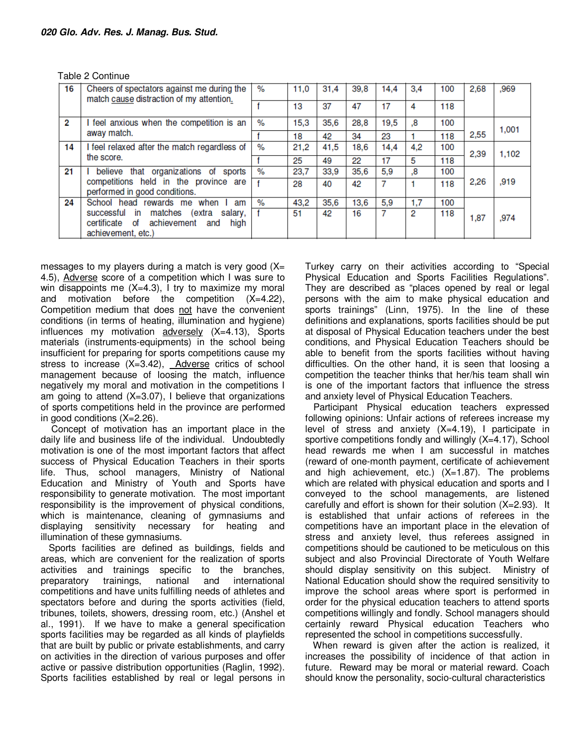| Table 2 Continue |  |
|------------------|--|
|------------------|--|

| 16          | Cheers of spectators against me during the<br>match cause distraction of my attention.                     |      | 11.0 | 31,4 | 39,8 | 14,4 | 3,4 | 100 | 2,68 | ,969  |
|-------------|------------------------------------------------------------------------------------------------------------|------|------|------|------|------|-----|-----|------|-------|
|             |                                                                                                            |      | 13   | 37   | 47   | 17   | 4   | 118 |      |       |
| 2           | I feel anxious when the competition is an                                                                  | %    | 15,3 | 35,6 | 28,8 | 19,5 | .8  | 100 | 2,55 | 1.001 |
| away match. |                                                                                                            |      | 18   | 42   | 34   | 23   |     | 118 |      |       |
| 14          | I feel relaxed after the match regardless of<br>the score.                                                 | %    | 21,2 | 41,5 | 18.6 | 14,4 | 4.2 | 100 | 2.39 | 1,102 |
|             |                                                                                                            |      | 25   | 49   | 22   | 17   | 5   | 118 |      |       |
| 21          | believe that organizations of sports                                                                       | %    | 23,7 | 33.9 | 35,6 | 5,9  | .8  | 100 |      |       |
|             | competitions held in the province are<br>performed in good conditions.                                     |      | 28   | 40   | 42   |      |     | 118 | 2,26 | ,919  |
| 24          | School head rewards me when I<br>am                                                                        | $\%$ | 43,2 | 35,6 | 13,6 | 5,9  | 1,7 | 100 | 1,87 | .974  |
|             | matches (extra salary,<br>successful in<br>certificate of achievement<br>hiah<br>and<br>achievement, etc.) |      | 51   | 42   | 16   |      | 2   | 118 |      |       |

messages to my players during a match is very good  $(X=$ 4.5), Adverse score of a competition which I was sure to win disappoints me  $(X=4.3)$ , I try to maximize my moral and motivation before the competition (X=4.22), Competition medium that does not have the convenient conditions (in terms of heating, illumination and hygiene) influences my motivation adversely (X=4.13), Sports materials (instruments-equipments) in the school being insufficient for preparing for sports competitions cause my stress to increase (X=3.42), Adverse critics of school management because of loosing the match, influence negatively my moral and motivation in the competitions I am going to attend (X=3.07), I believe that organizations of sports competitions held in the province are performed in good conditions (X=2.26).

 Concept of motivation has an important place in the daily life and business life of the individual. Undoubtedly motivation is one of the most important factors that affect success of Physical Education Teachers in their sports life. Thus, school managers, Ministry of National Education and Ministry of Youth and Sports have responsibility to generate motivation. The most important responsibility is the improvement of physical conditions, which is maintenance, cleaning of gymnasiums and displaying sensitivity necessary for heating and illumination of these gymnasiums.

 Sports facilities are defined as buildings, fields and areas, which are convenient for the realization of sports activities and trainings specific to the branches, preparatory trainings, national and international competitions and have units fulfilling needs of athletes and spectators before and during the sports activities (field, tribunes, toilets, showers, dressing room, etc.) (Anshel et al., 1991). If we have to make a general specification sports facilities may be regarded as all kinds of playfields that are built by public or private establishments, and carry on activities in the direction of various purposes and offer active or passive distribution opportunities (Raglin, 1992). Sports facilities established by real or legal persons in

Turkey carry on their activities according to "Special Physical Education and Sports Facilities Regulations". They are described as "places opened by real or legal persons with the aim to make physical education and sports trainings" (Linn, 1975). In the line of these definitions and explanations, sports facilities should be put at disposal of Physical Education teachers under the best conditions, and Physical Education Teachers should be able to benefit from the sports facilities without having difficulties. On the other hand, it is seen that loosing a competition the teacher thinks that her/his team shall win is one of the important factors that influence the stress and anxiety level of Physical Education Teachers.

 Participant Physical education teachers expressed following opinions: Unfair actions of referees increase my level of stress and anxiety (X=4.19), I participate in sportive competitions fondly and willingly (X=4.17), School head rewards me when I am successful in matches (reward of one-month payment, certificate of achievement and high achievement, etc.) (X=1.87). The problems which are related with physical education and sports and I conveyed to the school managements, are listened carefully and effort is shown for their solution (X=2.93). It is established that unfair actions of referees in the competitions have an important place in the elevation of stress and anxiety level, thus referees assigned in competitions should be cautioned to be meticulous on this subject and also Provincial Directorate of Youth Welfare should display sensitivity on this subject. Ministry of National Education should show the required sensitivity to improve the school areas where sport is performed in order for the physical education teachers to attend sports competitions willingly and fondly. School managers should certainly reward Physical education Teachers who represented the school in competitions successfully.

 When reward is given after the action is realized, it increases the possibility of incidence of that action in future. Reward may be moral or material reward. Coach should know the personality, socio-cultural characteristics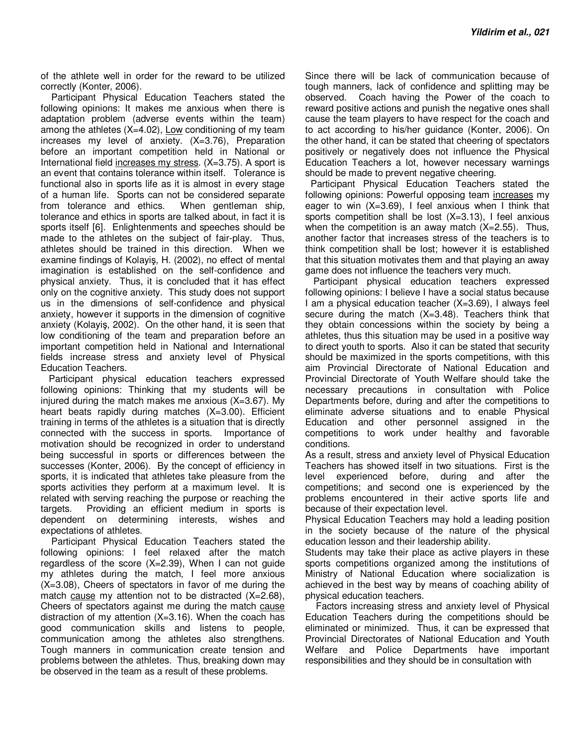of the athlete well in order for the reward to be utilized correctly (Konter, 2006).

 Participant Physical Education Teachers stated the following opinions: It makes me anxious when there is adaptation problem (adverse events within the team) among the athletes  $(X=4.02)$ , Low conditioning of my team increases my level of anxiety. (X=3.76), Preparation before an important competition held in National or International field increases my stress. (X=3.75). A sport is an event that contains tolerance within itself. Tolerance is functional also in sports life as it is almost in every stage of a human life. Sports can not be considered separate from tolerance and ethics. When gentleman ship, tolerance and ethics in sports are talked about, in fact it is sports itself [6]. Enlightenments and speeches should be made to the athletes on the subject of fair-play. Thus, athletes should be trained in this direction. When we examine findings of Kolayiş, H. (2002), no effect of mental imagination is established on the self-confidence and physical anxiety. Thus, it is concluded that it has effect only on the cognitive anxiety. This study does not support us in the dimensions of self-confidence and physical anxiety, however it supports in the dimension of cognitive anxiety (Kolayiş, 2002). On the other hand, it is seen that low conditioning of the team and preparation before an important competition held in National and International fields increase stress and anxiety level of Physical Education Teachers.

 Participant physical education teachers expressed following opinions: Thinking that my students will be injured during the match makes me anxious  $(X=3.67)$ . My heart beats rapidly during matches (X=3.00). Efficient training in terms of the athletes is a situation that is directly connected with the success in sports. Importance of motivation should be recognized in order to understand being successful in sports or differences between the successes (Konter, 2006). By the concept of efficiency in sports, it is indicated that athletes take pleasure from the sports activities they perform at a maximum level. It is related with serving reaching the purpose or reaching the targets. Providing an efficient medium in sports is dependent on determining interests, wishes and expectations of athletes.

 Participant Physical Education Teachers stated the following opinions: I feel relaxed after the match regardless of the score (X=2.39), When I can not guide my athletes during the match, I feel more anxious (X=3.08), Cheers of spectators in favor of me during the match cause my attention not to be distracted  $(X=2.68)$ , Cheers of spectators against me during the match cause distraction of my attention (X=3.16). When the coach has good communication skills and listens to people, communication among the athletes also strengthens. Tough manners in communication create tension and problems between the athletes. Thus, breaking down may be observed in the team as a result of these problems.

Since there will be lack of communication because of tough manners, lack of confidence and splitting may be observed. Coach having the Power of the coach to reward positive actions and punish the negative ones shall cause the team players to have respect for the coach and to act according to his/her guidance (Konter, 2006). On the other hand, it can be stated that cheering of spectators positively or negatively does not influence the Physical Education Teachers a lot, however necessary warnings should be made to prevent negative cheering.

 Participant Physical Education Teachers stated the following opinions: Powerful opposing team increases my eager to win  $(X=3.69)$ , I feel anxious when I think that sports competition shall be lost (X=3.13), I feel anxious when the competition is an away match  $(X=2.55)$ . Thus, another factor that increases stress of the teachers is to think competition shall be lost; however it is established that this situation motivates them and that playing an away game does not influence the teachers very much.

 Participant physical education teachers expressed following opinions: I believe I have a social status because I am a physical education teacher (X=3.69), I always feel secure during the match (X=3.48). Teachers think that they obtain concessions within the society by being a athletes, thus this situation may be used in a positive way to direct youth to sports. Also it can be stated that security should be maximized in the sports competitions, with this aim Provincial Directorate of National Education and Provincial Directorate of Youth Welfare should take the necessary precautions in consultation with Police Departments before, during and after the competitions to eliminate adverse situations and to enable Physical Education and other personnel assigned in the competitions to work under healthy and favorable conditions.

As a result, stress and anxiety level of Physical Education Teachers has showed itself in two situations. First is the level experienced before, during and after the competitions; and second one is experienced by the problems encountered in their active sports life and because of their expectation level.

Physical Education Teachers may hold a leading position in the society because of the nature of the physical education lesson and their leadership ability.

Students may take their place as active players in these sports competitions organized among the institutions of Ministry of National Education where socialization is achieved in the best way by means of coaching ability of physical education teachers.

 Factors increasing stress and anxiety level of Physical Education Teachers during the competitions should be eliminated or minimized. Thus, it can be expressed that Provincial Directorates of National Education and Youth Welfare and Police Departments have important responsibilities and they should be in consultation with